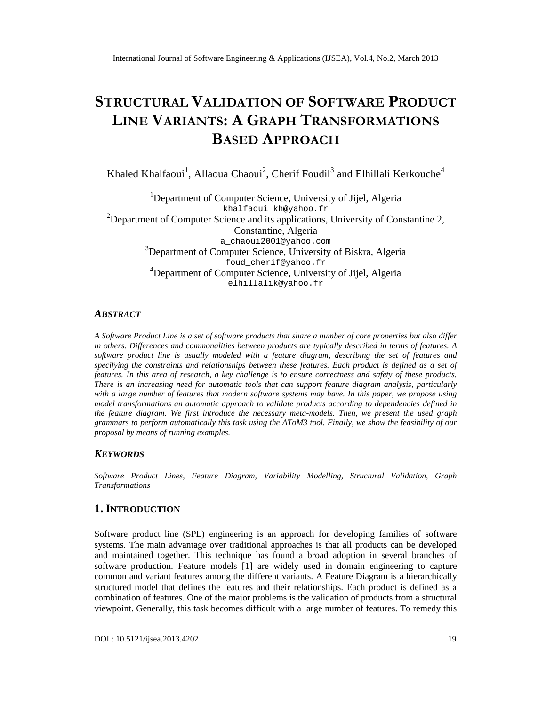# STRUCTUR WALIDATION SOFTWARER ODUCT LINEVARIANT & GRAPHTRANSFORMATIONS BASEDAPPROACH

Khaled Khalfaoui̇́, Allaoua Chaoûi, Cherif Foudił andElhillali Kerkouche<sup>4</sup>

<sup>1</sup>Department oComputerScienceUniversity of Jijel, Algeria [khalfaoui\\_kh@yahoo.fr](mailto:khalfaoui_kh@yahoo.fr) <sup>2</sup>Department of Computer Scienand its applications University of Constantine 2 **Constantine**Algeria [a\\_chaoui2001@yahoo.com](mailto:a_chaoui2001@yahoo.com) <sup>3</sup>Department of Computer Sciendeniversity of Biskra, Algeria [foud\\_cherif@yahoo.fr](mailto:foud_cherif@yahoo.fr) <sup>4</sup>Department of Computer Science, University of Jijel, Algeria [elhillalik@yahoo.fr](mailto:elhillalik@yahoo.fr)

### **ABSTRACT**

A Software Product hie is a set of software products that share a number of core properties but also differ in others. Differences and commonalities between products are typically described in terms of features. software product line is usually modeled with a featdragram, describing the set of features and specifying the constraints and relationships between these features. Each product is defined as a set of features. In this area of esearch, a key challenge is to ensure correctness and safety of these products. There is an increasing need for automatic tools that can support feature diagram analysis, particularly with a large number of features that modern software systems may have. In this paper, we propose using model transformations an automatic approach to validaroducts according to dependencies defined in the feature diagram. We first introduce the necessary metalels. Then, we present the used graph grammars to perform automatically this task using the AToM3 tool. Finally, we show the feasibility of our proposal by means of running examples.

### **KEYWORDS**

Software Product Lines, Feature Diagram, Variability Modelling, Structural Validation, Graph **Transformations** 

### 1.I NTRODUCTION

Software product line(SPL) engineering is an approach for developing families of tware systems.The main advantage over traditional approaches is that all products can be developed and maintained togethel. Ihis techniquehas found a broad adoption in several branches of software production.Feature models [1] are widely used in dromengineering to capture common and variant features among the different variants ature Diagram is a hierarchically structured model that defines the features and their relationships. Each product is defined as a combination of feature. One of themajor problems is the validation of products from a structural viewpoint. Generally, this task becomes difficult with a large number of features. To remedy this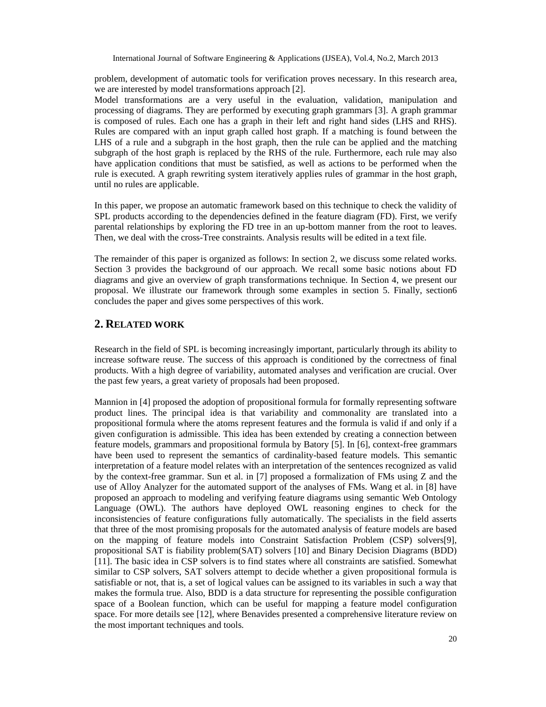problem, development of automatic tools for verification proves necessary. In this research area, we are interested by model transformations approach [2].

Model transformations are a very useful in the evaluation, validation, manipulation and processing of diagrams. They are performed by executing graph grammars [3]. A graph grammar is composed of rules. Each one has a graph in their left and right hand sides (LHS and RHS). Rules are compared with an input graph called host graph. If a matching is found between the LHS of a rule and a subgraph in the host graph, then the rule can be applied and the matching subgraph of the host graph is replaced by the RHS of the rule. Furthermore, each rule may also have application conditions that must be satisfied, as well as actions to be performed when the rule is executed. A graph rewriting system iteratively applies rules of grammar in the host graph, until no rules are applicable.

In this paper, we propose an automatic framework based on this technique to check the validity of SPL products according to the dependencies defined in the feature diagram (FD). First, we verify parental relationships by exploring the FD tree in an up-bottom manner from the root to leaves. Then, we deal with the cross-Tree constraints. Analysis results will be edited in a text file.

The remainder of this paper is organized as follows: In section 2, we discuss some related works. Section 3 provides the background of our approach. We recall some basic notions about FD diagrams and give an overview of graph transformations technique. In Section 4, we present our proposal. We illustrate our framework through some examples in section 5. Finally, section6 concludes the paper and gives some perspectives of this work.

#### **2. RELATED WORK**

Research in the field of SPL is becoming increasingly important, particularly through its ability to increase software reuse. The success of this approach is conditioned by the correctness of final products. With a high degree of variability, automated analyses and verification are crucial. Over the past few years, a great variety of proposals had been proposed.

Mannion in [4] proposed the adoption of propositional formula for formally representing software product lines. The principal idea is that variability and commonality are translated into a propositional formula where the atoms represent features and the formula is valid if and only if a given configuration is admissible. This idea has been extended by creating a connection between feature models, grammars and propositional formula by Batory [5]. In [6], context-free grammars have been used to represent the semantics of cardinality-based feature models. This semantic interpretation of a feature model relates with an interpretation of the sentences recognized as valid by the context-free grammar. Sun et al. in [7] proposed a formalization of FMs using Z and the use of Alloy Analyzer for the automated support of the analyses of FMs. Wang et al. in [8] have proposed an approach to modeling and verifying feature diagrams using semantic Web Ontology Language (OWL). The authors have deployed OWL reasoning engines to check for the inconsistencies of feature configurations fully automatically. The specialists in the field asserts that three of the most promising proposals for the automated analysis of feature models are based on the mapping of feature models into Constraint Satisfaction Problem (CSP) solvers[9], propositional SAT is fiability problem(SAT) solvers [10] and Binary Decision Diagrams (BDD) [11]. The basic idea in CSP solvers is to find states where all constraints are satisfied. Somewhat similar to CSP solvers, SAT solvers attempt to decide whether a given propositional formula is satisfiable or not, that is, a set of logical values can be assigned to its variables in such a way that makes the formula true. Also, BDD is a data structure for representing the possible configuration space of a Boolean function, which can be useful for mapping a feature model configuration space. For more details see [12], where Benavides presented a comprehensive literature review on the most important techniques and tools.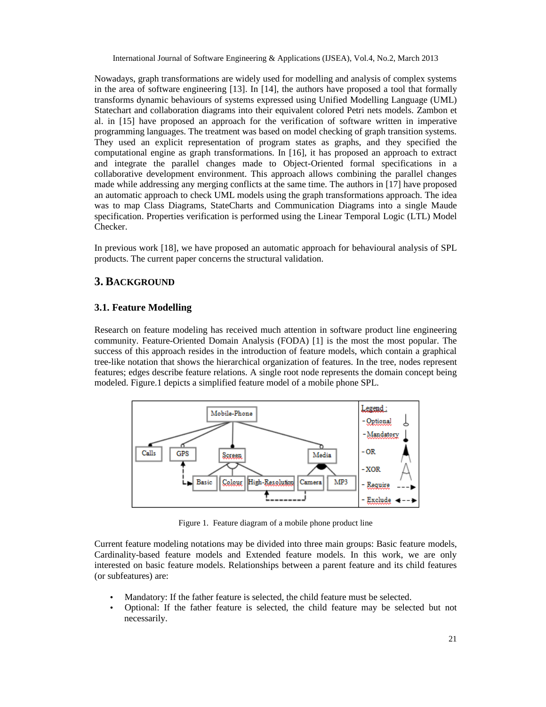Nowadays, graph transformations are widely used for modelling and analysis of complex systems in the area of software engineering [13]. In [14], the authors have proposed a tool that formally transforms dynamic behaviours of systems expressed using Unified Modelling Language (UML) Statechart and collaboration diagrams into their equivalent colored Petri nets models. Zambon et al. in [15] have proposed an approach for the verification of software written in imperative programming languages. The treatment was based on model checking of graph transition systems. They used an explicit representation of program states as graphs, and they specified the computational engine as graph transformations. In [16], it has proposed an approach to extract and integrate the parallel changes made to Object-Oriented formal specifications in a collaborative development environment. This approach allows combining the parallel changes made while addressing any merging conflicts at the same time. The authors in [17] have proposed an automatic approach to check UML models using the graph transformations approach. The idea was to map Class Diagrams, StateCharts and Communication Diagrams into a single Maude specification. Properties verification is performed using the Linear Temporal Logic (LTL) Model Checker.

In previous work [18], we have proposed an automatic approach for behavioural analysis of SPL products. The current paper concerns the structural validation.

# **3. BACKGROUND**

#### **3.1. Feature Modelling**

Research on feature modeling has received much attention in software product line engineering community. Feature-Oriented Domain Analysis (FODA) [1] is the most the most popular. The success of this approach resides in the introduction of feature models, which contain a graphical tree-like notation that shows the hierarchical organization of features. In the tree, nodes represent features; edges describe feature relations. A single root node represents the domain concept being modeled. Figure.1 depicts a simplified feature model of a mobile phone SPL.



Figure 1. Feature diagram of a mobile phone product line

Current feature modeling notations may be divided into three main groups: Basic feature models, Cardinality-based feature models and Extended feature models. In this work, we are only interested on basic feature models. Relationships between a parent feature and its child features (or subfeatures) are:

- Mandatory: If the father feature is selected, the child feature must be selected.
- Optional: If the father feature is selected, the child feature may be selected but not necessarily.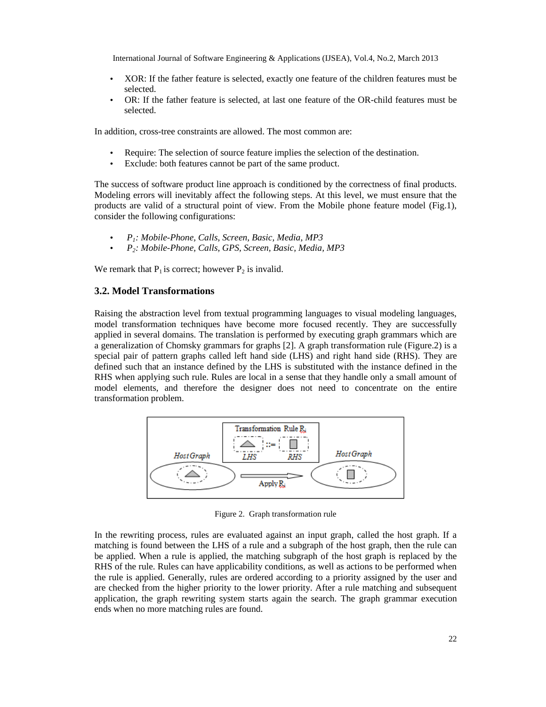- XOR: If the father feature is selected, exactly one feature of the children features must be selected.
- OR: If the father feature is selected, at last one feature of the OR-child features must be selected.

In addition, cross-tree constraints are allowed. The most common are:

- Require: The selection of source feature implies the selection of the destination.
- Exclude: both features cannot be part of the same product.

The success of software product line approach is conditioned by the correctness of final products. Modeling errors will inevitably affect the following steps. At this level, we must ensure that the products are valid of a structural point of view. From the Mobile phone feature model (Fig.1), consider the following configurations:

- *P1: Mobile-Phone, Calls, Screen, Basic, Media, MP3*
- *P2: Mobile-Phone, Calls, GPS, Screen, Basic, Media, MP3*

We remark that  $P_1$  is correct; however  $P_2$  is invalid.

#### **3.2. Model Transformations**

Raising the abstraction level from textual programming languages to visual modeling languages, model transformation techniques have become more focused recently. They are successfully applied in several domains. The translation is performed by executing graph grammars which are a generalization of Chomsky grammars for graphs [2]. A graph transformation rule (Figure.2) is a special pair of pattern graphs called left hand side (LHS) and right hand side (RHS). They are defined such that an instance defined by the LHS is substituted with the instance defined in the RHS when applying such rule. Rules are local in a sense that they handle only a small amount of model elements, and therefore the designer does not need to concentrate on the entire transformation problem.



Figure 2. Graph transformation rule

In the rewriting process, rules are evaluated against an input graph, called the host graph. If a matching is found between the LHS of a rule and a subgraph of the host graph, then the rule can be applied. When a rule is applied, the matching subgraph of the host graph is replaced by the RHS of the rule. Rules can have applicability conditions, as well as actions to be performed when the rule is applied. Generally, rules are ordered according to a priority assigned by the user and are checked from the higher priority to the lower priority. After a rule matching and subsequent application, the graph rewriting system starts again the search. The graph grammar execution ends when no more matching rules are found.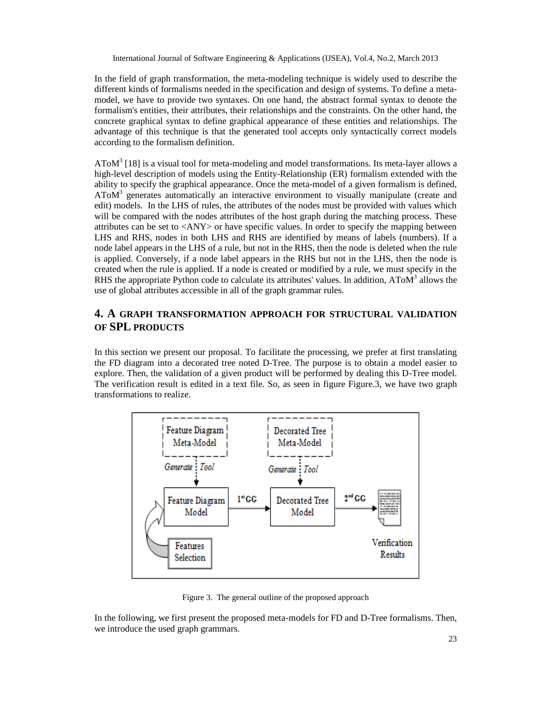In the field of graph transformation, the meta-modeling technique is widely used to describe the different kinds of formalisms needed in the specification and design of systems. To define a metamodel, we have to provide two syntaxes. On one hand, the abstract formal syntax to denote the formalism's entities, their attributes, their relationships and the constraints. On the other hand, the concrete graphical syntax to define graphical appearance of these entities and relationships. The advantage of this technique is that the generated tool accepts only syntactically correct models according to the formalism definition.

AToM<sup>3</sup> [18] is a visual tool for meta-modeling and model transformations. Its meta-layer allows a high-level description of models using the Entity-Relationship (ER) formalism extended with the ability to specify the graphical appearance. Once the meta-model of a given formalism is defined, AToM<sup>3</sup> generates automatically an interactive environment to visually manipulate (create and edit) models. In the LHS of rules, the attributes of the nodes must be provided with values which will be compared with the nodes attributes of the host graph during the matching process. These attributes can be set to <ANY> or have specific values. In order to specify the mapping between LHS and RHS, nodes in both LHS and RHS are identified by means of labels (numbers). If a node label appears in the LHS of a rule, but not in the RHS, then the node is deleted when the rule is applied. Conversely, if a node label appears in the RHS but not in the LHS, then the node is created when the rule is applied. If a node is created or modified by a rule, we must specify in the RHS the appropriate Python code to calculate its attributes' values. In addition,  $A\text{ToM}^3$  allows the use of global attributes accessible in all of the graph grammar rules.

# **4. A GRAPH TRANSFORMATION APPROACH FOR STRUCTURAL VALIDATION OF SPL PRODUCTS**

In this section we present our proposal. To facilitate the processing, we prefer at first translating the FD diagram into a decorated tree noted D-Tree. The purpose is to obtain a model easier to explore. Then, the validation of a given product will be performed by dealing this D-Tree model. The verification result is edited in a text file. So, as seen in figure Figure.3, we have two graph transformations to realize.



Figure 3. The general outline of the proposed approach

In the following, we first present the proposed meta-models for FD and D-Tree formalisms. Then, we introduce the used graph grammars.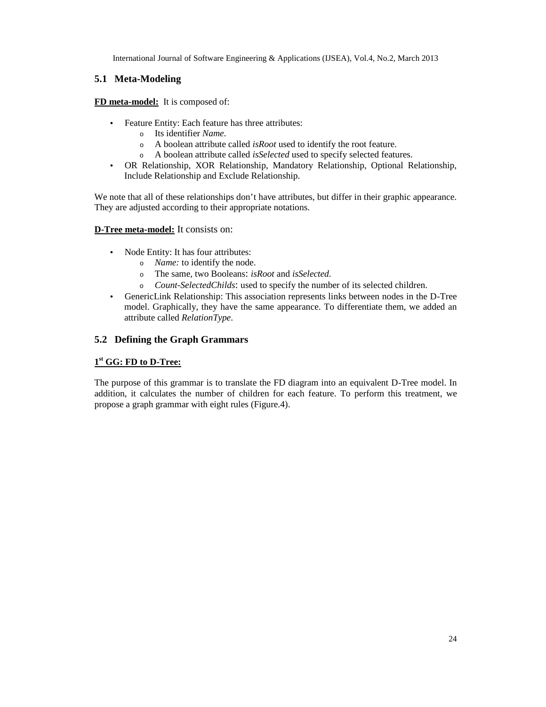# **5.1 Meta-Modeling**

**FD meta-model:** It is composed of:

- Feature Entity: Each feature has three attributes:
	- o Its identifier *Name*.
	- o A boolean attribute called *isRoot* used to identify the root feature.
	- o A boolean attribute called *isSelected* used to specify selected features.
- OR Relationship, XOR Relationship, Mandatory Relationship, Optional Relationship, Include Relationship and Exclude Relationship.

We note that all of these relationships don't have attributes, but differ in their graphic appearance. They are adjusted according to their appropriate notations.

#### **D-Tree meta-model:** It consists on:

- Node Entity: It has four attributes:
	- o *Name:* to identify the node.
	- <sup>o</sup> The same, two Booleans: *isRoot* and *isSelected.*
	- <sup>o</sup> *Count-SelectedChilds*: used to specify the number of its selected children.
- GenericLink Relationship: This association represents links between nodes in the D-Tree model. Graphically, they have the same appearance. To differentiate them, we added an attribute called *RelationType*.

### **5.2 Defining the Graph Grammars**

#### **1 st GG: FD to D-Tree:**

The purpose of this grammar is to translate the FD diagram into an equivalent D-Tree model. In addition, it calculates the number of children for each feature. To perform this treatment, we propose a graph grammar with eight rules (Figure.4).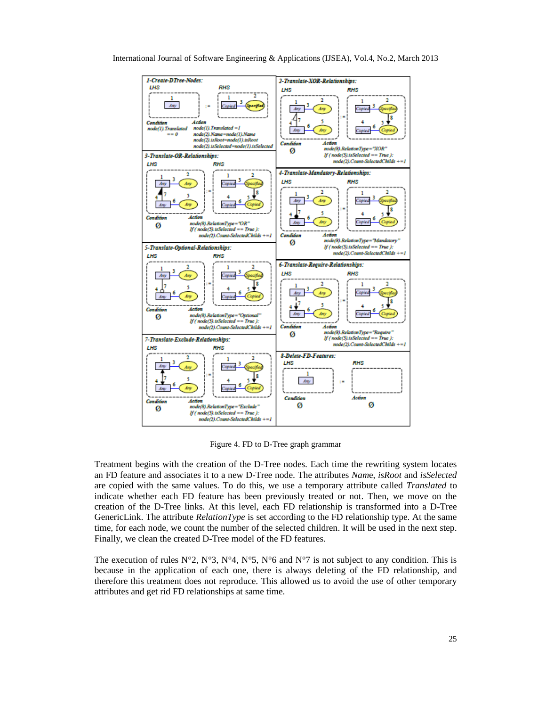

Figure 4. FD to D-Tree graph grammar

Treatment begins with the creation of the D-Tree nodes. Each time the rewriting system locates an FD feature and associates it to a new D-Tree node. The attributes *Nam*e, *isRoot* and *isSelected* are copied with the same values. To do this, we use a temporary attribute called *Translated* to indicate whether each FD feature has been previously treated or not. Then, we move on the creation of the D-Tree links. At this level, each FD relationship is transformed into a D-Tree GenericLink. The attribute *RelationType* is set according to the FD relationship type. At the same time, for each node, we count the number of the selected children. It will be used in the next step. Finally, we clean the created D-Tree model of the FD features.

The execution of rules  $N^{\circ}2$ ,  $N^{\circ}3$ ,  $N^{\circ}4$ ,  $N^{\circ}5$ ,  $N^{\circ}6$  and  $N^{\circ}7$  is not subject to any condition. This is because in the application of each one, there is always deleting of the FD relationship, and therefore this treatment does not reproduce. This allowed us to avoid the use of other temporary attributes and get rid FD relationships at same time.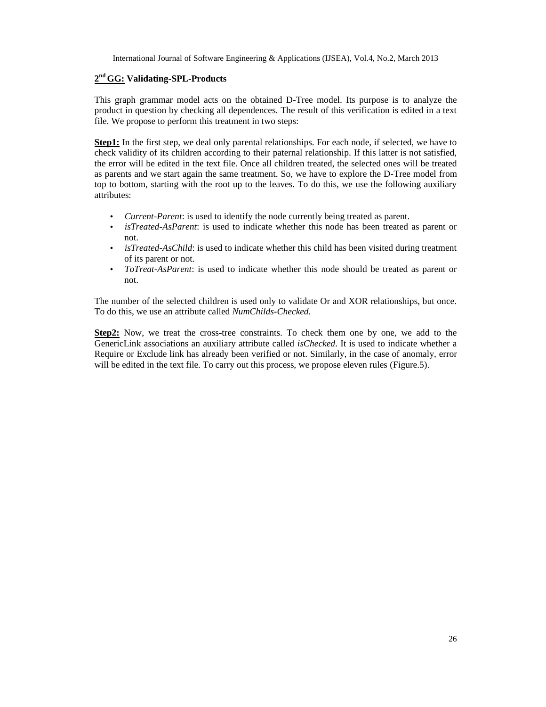#### **2 nd GG: Validating-SPL-Products**

This graph grammar model acts on the obtained D-Tree model. Its purpose is to analyze the product in question by checking all dependences. The result of this verification is edited in a text file. We propose to perform this treatment in two steps:

**Step1:** In the first step, we deal only parental relationships. For each node, if selected, we have to check validity of its children according to their paternal relationship. If this latter is not satisfied, the error will be edited in the text file. Once all children treated, the selected ones will be treated as parents and we start again the same treatment. So, we have to explore the D-Tree model from top to bottom, starting with the root up to the leaves. To do this, we use the following auxiliary attributes:

- *Current-Parent*: is used to identify the node currently being treated as parent.
- *isTreated-AsParent*: is used to indicate whether this node has been treated as parent or not.
- *isTreated-AsChild*: is used to indicate whether this child has been visited during treatment of its parent or not.
- *ToTreat-AsParent*: is used to indicate whether this node should be treated as parent or not.

The number of the selected children is used only to validate Or and XOR relationships, but once. To do this, we use an attribute called *NumChilds-Checked*.

**Step2:** Now, we treat the cross-tree constraints. To check them one by one, we add to the GenericLink associations an auxiliary attribute called *isChecked*. It is used to indicate whether a Require or Exclude link has already been verified or not. Similarly, in the case of anomaly, error will be edited in the text file. To carry out this process, we propose eleven rules (Figure.5).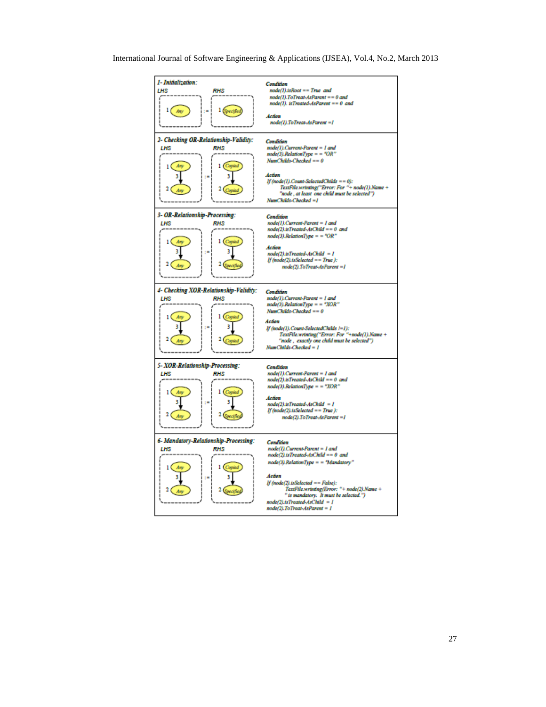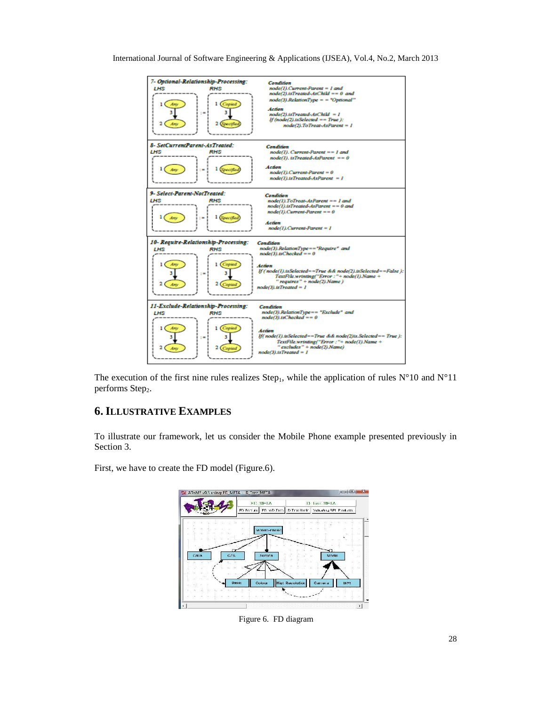

The execution of the first nine rules realizes Step<sub>1</sub>, while the application of rules  $N^{\circ}10$  and  $N^{\circ}11$ performs Step<sub>2</sub>.

# **6. ILLUSTRATIVE EXAMPLES**

To illustrate our framework, let us consider the Mobile Phone example presented previously in Section 3.

First, we have to create the FD model (Figure.6).



Figure 6. FD diagram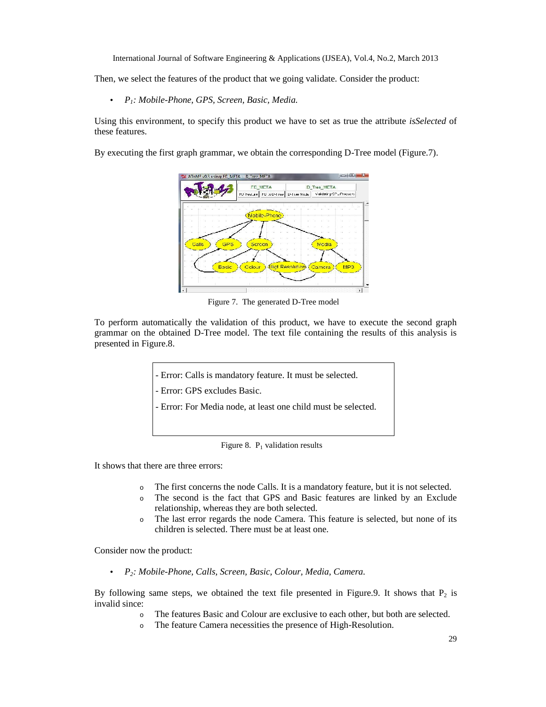Then, we select the features of the product that we going validate. Consider the product:

• *P1: Mobile-Phone, GPS, Screen, Basic, Media.*

Using this environment, to specify this product we have to set as true the attribute *isSelected* of these features.

By executing the first graph grammar, we obtain the corresponding D-Tree model (Figure.7).



Figure 7. The generated D-Tree model

To perform automatically the validation of this product, we have to execute the second graph grammar on the obtained D-Tree model. The text file containing the results of this analysis is presented in Figure.8.

- Error: Calls is mandatory feature. It must be selected.

- Error: GPS excludes Basic.

- Error: For Media node, at least one child must be selected.

Figure 8.  $P_1$  validation results

It shows that there are three errors:

- o The first concerns the node Calls. It is a mandatory feature, but it is not selected.
- o The second is the fact that GPS and Basic features are linked by an Exclude relationship, whereas they are both selected.
- o The last error regards the node Camera. This feature is selected, but none of its children is selected. There must be at least one.

Consider now the product:

• *P2: Mobile-Phone, Calls, Screen, Basic, Colour, Media, Camera.*

By following same steps, we obtained the text file presented in Figure.9. It shows that  $P_2$  is invalid since:

- o The features Basic and Colour are exclusive to each other, but both are selected.
- o The feature Camera necessities the presence of High-Resolution.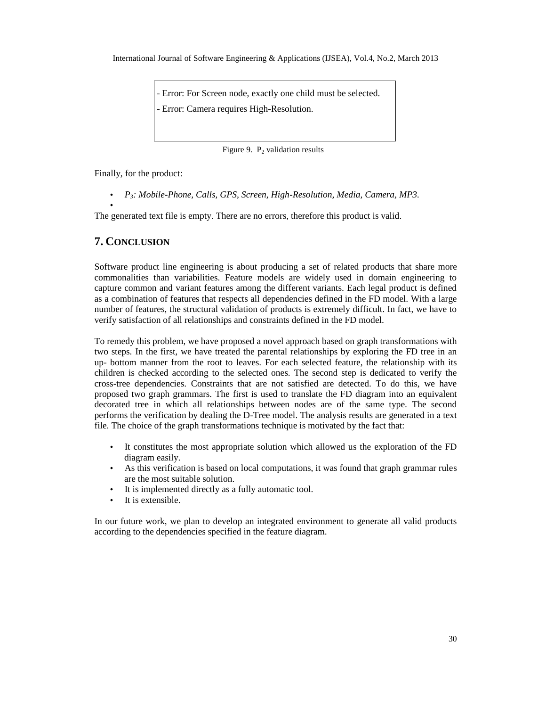- Error: For Screen node, exactly one child must be selected. - Error: Camera requires High-Resolution.

Figure 9.  $P_2$  validation results

Finally, for the product:

• *P3: Mobile-Phone, Calls, GPS, Screen, High-Resolution, Media, Camera, MP3.*

The generated text file is empty. There are no errors, therefore this product is valid.

#### **7. CONCLUSION**  $\Omega_{\text{N}}$

•

Software product line engineering is about producing a set of related products that share more commonalities than variabilities. Feature models are widely used in domain engineering to capture common and variant features among the different variants. Each legal product is defined as a combination of features that respects all dependencies defined in the FD model. With a large number of features, the structural validation of products is extremely difficult. In fact, we have to verify satisfaction of all relationships and constraints defined in the FD model.

To remedy this problem, we have proposed a novel approach based on graph transformations with two steps. In the first, we have treated the parental relationships by exploring the FD tree in an up- bottom manner from the root to leaves. For each selected feature, the relationship with its children is checked according to the selected ones. The second step is dedicated to verify the cross-tree dependencies. Constraints that are not satisfied are detected. To do this, we have proposed two graph grammars. The first is used to translate the FD diagram into an equivalent decorated tree in which all relationships between nodes are of the same type. The second performs the verification by dealing the D-Tree model. The analysis results are generated in a text file. The choice of the graph transformations technique is motivated by the fact that:

- It constitutes the most appropriate solution which allowed us the exploration of the FD diagram easily.
- As this verification is based on local computations, it was found that graph grammar rules are the most suitable solution.
- It is implemented directly as a fully automatic tool.
- It is extensible.

In our future work, we plan to develop an integrated environment to generate all valid products according to the dependencies specified in the feature diagram.